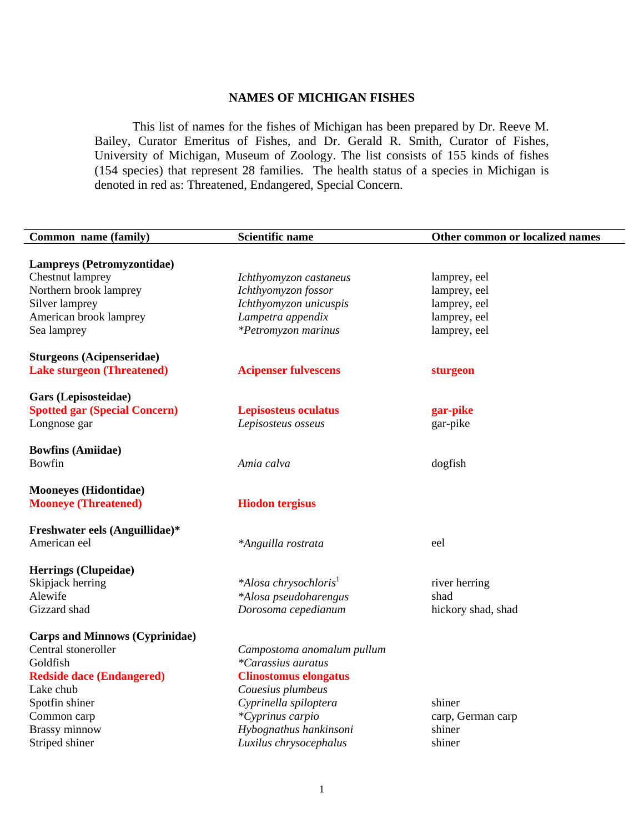### **NAMES OF MICHIGAN FISHES**

This list of names for the fishes of Michigan has been prepared by Dr. Reeve M. Bailey, Curator Emeritus of Fishes, and Dr. Gerald R. Smith, Curator of Fishes, University of Michigan, Museum of Zoology. The list consists of 155 kinds of fishes (154 species) that represent 28 families. The health status of a species in Michigan is denoted in red as: Threatened, Endangered, Special Concern.

| Common name (family)                  | <b>Scientific name</b>            | Other common or localized names |
|---------------------------------------|-----------------------------------|---------------------------------|
|                                       |                                   |                                 |
| Lampreys (Petromyzontidae)            |                                   |                                 |
| Chestnut lamprey                      | Ichthyomyzon castaneus            | lamprey, eel                    |
| Northern brook lamprey                | Ichthyomyzon fossor               | lamprey, eel                    |
| Silver lamprey                        | Ichthyomyzon unicuspis            | lamprey, eel                    |
| American brook lamprey                | Lampetra appendix                 | lamprey, eel                    |
| Sea lamprey                           | *Petromyzon marinus               | lamprey, eel                    |
| <b>Sturgeons (Acipenseridae)</b>      |                                   |                                 |
| <b>Lake sturgeon (Threatened)</b>     | <b>Acipenser fulvescens</b>       | sturgeon                        |
| Gars (Lepisosteidae)                  |                                   |                                 |
| <b>Spotted gar (Special Concern)</b>  | <b>Lepisosteus oculatus</b>       | gar-pike                        |
| Longnose gar                          | Lepisosteus osseus                | gar-pike                        |
|                                       |                                   |                                 |
| <b>Bowfins (Amiidae)</b>              |                                   |                                 |
| <b>Bowfin</b>                         | Amia calva                        | dogfish                         |
| <b>Mooneyes (Hidontidae)</b>          |                                   |                                 |
| <b>Mooneye (Threatened)</b>           | <b>Hiodon</b> tergisus            |                                 |
| Freshwater eels (Anguillidae)*        |                                   |                                 |
| American eel                          | *Anguilla rostrata                | eel                             |
| <b>Herrings (Clupeidae)</b>           |                                   |                                 |
| Skipjack herring                      | *Alosa chrysochloris <sup>1</sup> | river herring                   |
| Alewife                               | *Alosa pseudoharengus             | shad                            |
| Gizzard shad                          | Dorosoma cepedianum               | hickory shad, shad              |
| <b>Carps and Minnows (Cyprinidae)</b> |                                   |                                 |
| Central stoneroller                   | Campostoma anomalum pullum        |                                 |
| Goldfish                              | <i>*Carassius auratus</i>         |                                 |
| <b>Redside dace (Endangered)</b>      | <b>Clinostomus elongatus</b>      |                                 |
| Lake chub                             | Couesius plumbeus                 |                                 |
| Spotfin shiner                        | Cyprinella spiloptera             | shiner                          |
| Common carp                           | *Cyprinus carpio                  | carp, German carp               |
| <b>Brassy</b> minnow                  | Hybognathus hankinsoni            | shiner                          |
| Striped shiner                        | Luxilus chrysocephalus            | shiner                          |
|                                       |                                   |                                 |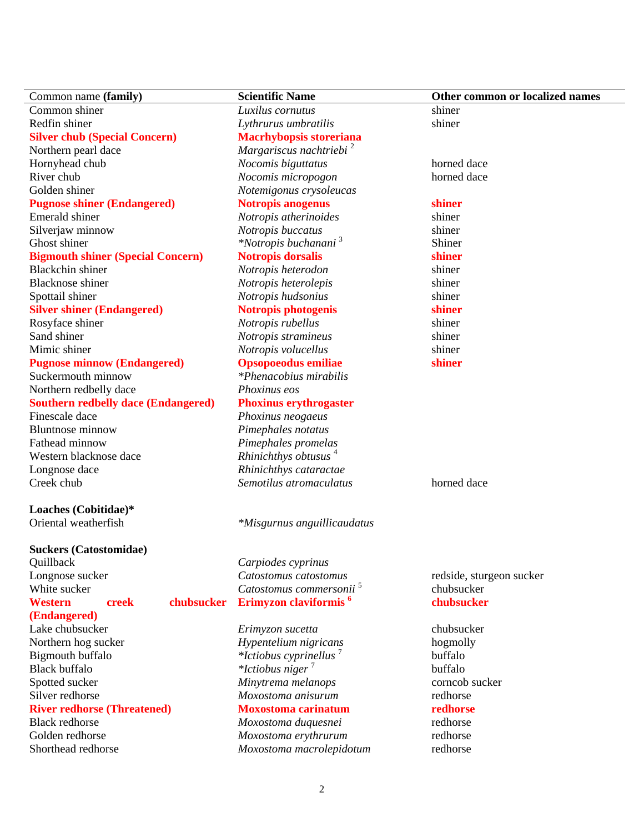Common shiner *Luxilus cornutus* shiner Redfin shiner *Lythrurus umbratilis* shiner **Silver chub (Special Concern) Macrhybopsis storeriana**  Northern pearl dace *Margariscus nachtriebi* <sup>2</sup> Hornyhead chub *Nocomis biguttatus* horned dace River chub *Nocomis micropogon* horned dace Golden shiner *Notemigonus crysoleucas* **Pugnose shiner (Endangered)** Notropis anogenus shiner **shiner** Emerald shiner *Notropis atherinoides* shiner Silverjaw minnow *Notropis buccatus* shiner Ghost shiner *\*Notropis buchanani* <sup>3</sup> Shiner **Bigmouth shiner (Special Concern) Notropis dorsalis shiner**  Blackchin shiner *Notropis heterodon* shiner Blacknose shiner *Notropis heterolepis* shiner Spottail shiner *Notropis hudsonius* shiner **Silver shiner (Endangered) Notropis photogenis shiner**  Rosyface shiner *Notropis rubellus* shiner Sand shiner *Notropis stramineus* shiner Mimic shiner *Notropis volucellus* shiner **Pugnose minnow (Endangered) Opsopoeodus emiliae shiner**  Suckermouth minnow *\*Phenacobius mirabilis*  Northern redbelly dace *Phoxinus eos* **Southern redbelly dace (Endangered) Phoxinus erythrogaster**  Finescale dace *Phoxinus neogaeus* Bluntnose minnow *Pimephales notatus* Fathead minnow *Pimephales promelas* Western blacknose dace *Rhinichthys obtusus* <sup>4</sup> Longnose dace *Rhinichthys cataractae*  Creek chub *Semotilus atromaculatus* horned dace **Loaches (Cobitidae)\***  Oriental weatherfish *\*Misgurnus anguillicaudatus*  **Suckers (Catostomidae)**  Quillback *Carpiodes cyprinus*  Longnose sucker *Catostomus catostomus* redside, sturgeon sucker White sucker **Catostomus commersonii**<sup>5</sup> chubsucker **Western creek chubsucker (Endangered)**  Lake chubsucker *Erimyzon sucetta* chubsucker Northern hog sucker *Hypentelium nigricans* hogmolly Bigmouth buffalo *\*Ictiobus cyprinellus* 7 buffalo Black buffalo *\*Ictiobus niger* 7 buffalo

**Erimyzon claviformis 6 chubsucker** 

Spotted sucker *Minytrema melanops* corncob sucker Silver redhorse *Moxostoma anisurum* redhorse **River redhorse (Threatened) Moxostoma carinatum redhorse**  Black redhorse *Moxostoma duquesnei* redhorse Golden redhorse *Moxostoma erythrurum* redhorse Shorthead redhorse *Moxostoma macrolepidotum* redhorse

# **Common name (family)** Scientific Name **Common Common or localized names Other common or localized names**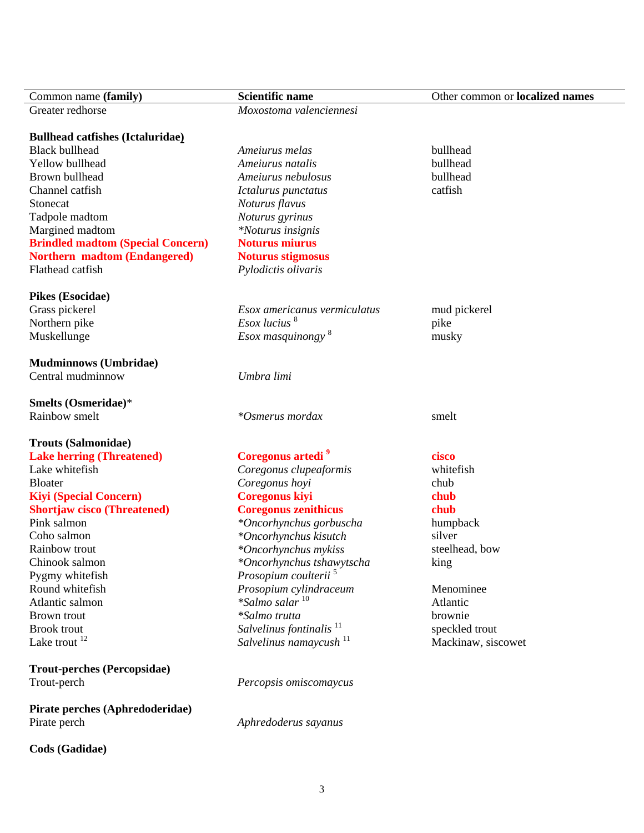| Common name (family)                     | <b>Scientific name</b>              | Other common or localized names |
|------------------------------------------|-------------------------------------|---------------------------------|
| Greater redhorse                         | Moxostoma valenciennesi             |                                 |
|                                          |                                     |                                 |
| <b>Bullhead catfishes (Ictaluridae)</b>  |                                     |                                 |
| <b>Black bullhead</b>                    | Ameiurus melas                      | bullhead                        |
| Yellow bullhead                          | Ameiurus natalis                    | bullhead                        |
| Brown bullhead                           | Ameiurus nebulosus                  | bullhead                        |
| Channel catfish                          | Ictalurus punctatus                 | catfish                         |
| Stonecat                                 | Noturus flavus                      |                                 |
| Tadpole madtom                           | Noturus gyrinus                     |                                 |
| Margined madtom                          | *Noturus insignis                   |                                 |
| <b>Brindled madtom (Special Concern)</b> | <b>Noturus miurus</b>               |                                 |
| Northern madtom (Endangered)             | <b>Noturus stigmosus</b>            |                                 |
| Flathead catfish                         | Pylodictis olivaris                 |                                 |
|                                          |                                     |                                 |
| <b>Pikes (Esocidae)</b>                  |                                     |                                 |
| Grass pickerel                           | Esox americanus vermiculatus        | mud pickerel                    |
| Northern pike                            | $Esox$ lucius $8$                   | pike                            |
| Muskellunge                              | $E$ sox masquinongy $8$             | musky                           |
|                                          |                                     |                                 |
| <b>Mudminnows (Umbridae)</b>             |                                     |                                 |
| Central mudminnow                        | Umbra limi                          |                                 |
|                                          |                                     |                                 |
| Smelts (Osmeridae)*                      |                                     |                                 |
| Rainbow smelt                            | *Osmerus mordax                     | smelt                           |
|                                          |                                     |                                 |
| <b>Trouts (Salmonidae)</b>               |                                     |                                 |
| <b>Lake herring (Threatened)</b>         | Coregonus artedi <sup>9</sup>       | cisco                           |
| Lake whitefish                           | Coregonus clupeaformis              | whitefish                       |
| <b>Bloater</b>                           | Coregonus hoyi                      | chub                            |
| <b>Kiyi (Special Concern)</b>            | <b>Coregonus kiyi</b>               | chub                            |
| <b>Shortjaw cisco (Threatened)</b>       | <b>Coregonus zenithicus</b>         | chub                            |
| Pink salmon                              | *Oncorhynchus gorbuscha             | humpback                        |
| Coho salmon                              | *Oncorhynchus kisutch               | silver                          |
| Rainbow trout                            | *Oncorhynchus mykiss                | steelhead, bow                  |
| Chinook salmon                           | *Oncorhynchus tshawytscha           | king                            |
| Pygmy whitefish                          | Prosopium coulterii <sup>5</sup>    |                                 |
| Round whitefish                          | Prosopium cylindraceum              | Menominee                       |
| Atlantic salmon                          | *Salmo salar <sup>10</sup>          | Atlantic                        |
| Brown trout                              | *Salmo trutta                       | brownie                         |
| <b>Brook</b> trout                       | Salvelinus fontinalis <sup>11</sup> | speckled trout                  |
| Lake trout <sup>12</sup>                 | Salvelinus namaycush $^{11}$        | Mackinaw, siscowet              |
|                                          |                                     |                                 |
| <b>Trout-perches (Percopsidae)</b>       |                                     |                                 |
| Trout-perch                              | Percopsis omiscomaycus              |                                 |
|                                          |                                     |                                 |
| Pirate perches (Aphredoderidae)          |                                     |                                 |
| Pirate perch                             | Aphredoderus sayanus                |                                 |
|                                          |                                     |                                 |
| Cods (Gadidae)                           |                                     |                                 |
|                                          |                                     |                                 |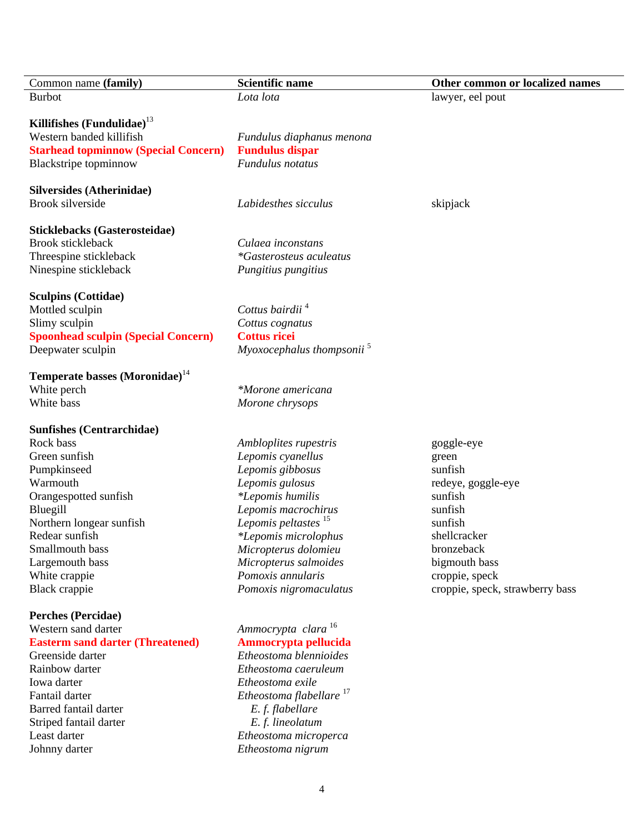| Common name (family)                        | <b>Scientific name</b>                | Other common or localized names |
|---------------------------------------------|---------------------------------------|---------------------------------|
| <b>Burbot</b>                               | Lota lota                             | lawyer, eel pout                |
|                                             |                                       |                                 |
| Killifishes (Fundulidae) $^{13}$            |                                       |                                 |
| Western banded killifish                    | Fundulus diaphanus menona             |                                 |
| <b>Starhead topminnow (Special Concern)</b> | <b>Fundulus dispar</b>                |                                 |
| Blackstripe topminnow                       | Fundulus notatus                      |                                 |
|                                             |                                       |                                 |
| <b>Silversides (Atherinidae)</b>            |                                       |                                 |
| <b>Brook silverside</b>                     | Labidesthes sicculus                  | skipjack                        |
|                                             |                                       |                                 |
| <b>Sticklebacks (Gasterosteidae)</b>        |                                       |                                 |
| <b>Brook stickleback</b>                    | Culaea inconstans                     |                                 |
| Threespine stickleback                      | <i>*Gasterosteus aculeatus</i>        |                                 |
| Ninespine stickleback                       | Pungitius pungitius                   |                                 |
|                                             |                                       |                                 |
| <b>Sculpins (Cottidae)</b>                  |                                       |                                 |
| Mottled sculpin                             | Cottus bairdii <sup>4</sup>           |                                 |
| Slimy sculpin                               | Cottus cognatus                       |                                 |
| <b>Spoonhead sculpin (Special Concern)</b>  | <b>Cottus ricei</b>                   |                                 |
| Deepwater sculpin                           | Myoxocephalus thompsonii <sup>5</sup> |                                 |
|                                             |                                       |                                 |
| Temperate basses (Moronidae) <sup>14</sup>  |                                       |                                 |
| White perch                                 | *Morone americana                     |                                 |
| White bass                                  | Morone chrysops                       |                                 |
|                                             |                                       |                                 |
| <b>Sunfishes (Centrarchidae)</b>            |                                       |                                 |
| Rock bass                                   | Ambloplites rupestris                 | goggle-eye                      |
| Green sunfish                               | Lepomis cyanellus                     | green                           |
| Pumpkinseed                                 | Lepomis gibbosus                      | sunfish                         |
| Warmouth                                    | Lepomis gulosus                       | redeye, goggle-eye              |
| Orangespotted sunfish                       | <i>*Lepomis humilis</i>               | sunfish                         |
| Bluegill                                    | Lepomis macrochirus                   | sunfish                         |
| Northern longear sunfish                    | Lepomis peltastes <sup>15</sup>       | sunfish                         |
| Redear sunfish                              | <i>*Lepomis microlophus</i>           | shellcracker                    |
| Smallmouth bass                             | Micropterus dolomieu                  | bronzeback                      |
| Largemouth bass                             | Micropterus salmoides                 | bigmouth bass                   |
| White crappie                               | Pomoxis annularis                     | croppie, speck                  |
| Black crappie                               | Pomoxis nigromaculatus                | croppie, speck, strawberry bass |
| <b>Perches (Percidae)</b>                   |                                       |                                 |
| Western sand darter                         | Ammocrypta clara <sup>16</sup>        |                                 |
| <b>Easterm sand darter (Threatened)</b>     | Ammocrypta pellucida                  |                                 |
| Greenside darter                            | Etheostoma blennioides                |                                 |
| Rainbow darter                              | Etheostoma caeruleum                  |                                 |
| Iowa darter                                 | Etheostoma exile                      |                                 |
| Fantail darter                              | Etheostoma flabellare <sup>17</sup>   |                                 |
| Barred fantail darter                       |                                       |                                 |
|                                             | E.f. flabellare                       |                                 |
| Striped fantail darter<br>Least darter      | E.f. lineolatum                       |                                 |
|                                             | Etheostoma microperca                 |                                 |
| Johnny darter                               | Etheostoma nigrum                     |                                 |

L,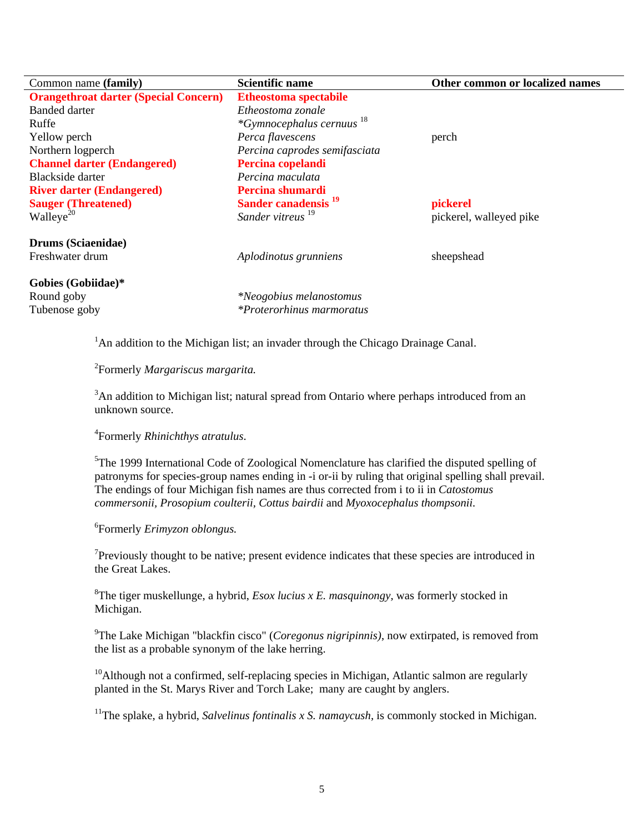| Common name (family)                         | <b>Scientific name</b>               | Other common or localized names |
|----------------------------------------------|--------------------------------------|---------------------------------|
| <b>Orangethroat darter (Special Concern)</b> | <b>Etheostoma spectabile</b>         |                                 |
| <b>Banded darter</b>                         | Etheostoma zonale                    |                                 |
| Ruffe                                        | *Gymnocephalus cernuus <sup>18</sup> |                                 |
| Yellow perch                                 | Perca flavescens                     | perch                           |
| Northern logperch                            | Percina caprodes semifasciata        |                                 |
| <b>Channel darter (Endangered)</b>           | Percina copelandi                    |                                 |
| Blackside darter                             | Percina maculata                     |                                 |
| <b>River darter (Endangered)</b>             | Percina shumardi                     |                                 |
| <b>Sauger (Threatened)</b>                   | Sander canadensis <sup>19</sup>      | pickerel                        |
| Walleye <sup>20</sup>                        | Sander vitreus <sup>19</sup>         | pickerel, walleyed pike         |
| <b>Drums (Sciaenidae)</b>                    |                                      |                                 |
| Freshwater drum                              | Aplodinotus grunniens                | sheepshead                      |
| Gobies (Gobiidae)*                           |                                      |                                 |
| Round goby                                   | *Neogobius melanostomus              |                                 |
| Tubenose goby                                | <i>*Proterorhinus marmoratus</i>     |                                 |

<sup>1</sup>An addition to the Michigan list; an invader through the Chicago Drainage Canal.

### 2 Formerly *Margariscus margarita.*

<sup>3</sup>An addition to Michigan list; natural spread from Ontario where perhaps introduced from an unknown source.

4 Formerly *Rhinichthys atratulus*.

<sup>5</sup>The 1999 International Code of Zoological Nomenclature has clarified the disputed spelling of patronyms for species-group names ending in -i or-ii by ruling that original spelling shall prevail. The endings of four Michigan fish names are thus corrected from i to ii in *Catostomus commersonii, Prosopium coulterii, Cottus bairdii* and *Myoxocephalus thompsonii.* 

6 Formerly *Erimyzon oblongus.* 

 $7$ Previously thought to be native; present evidence indicates that these species are introduced in the Great Lakes.

8 The tiger muskellunge, a hybrid, *Esox lucius x E. masquinongy,* was formerly stocked in Michigan.

9 The Lake Michigan "blackfin cisco" (*Coregonus nigripinnis)*, now extirpated, is removed from the list as a probable synonym of the lake herring.

 $10A$ lthough not a confirmed, self-replacing species in Michigan, Atlantic salmon are regularly planted in the St. Marys River and Torch Lake; many are caught by anglers.

<sup>11</sup>The splake, a hybrid, *Salvelinus fontinalis x S. namaycush*, is commonly stocked in Michigan.